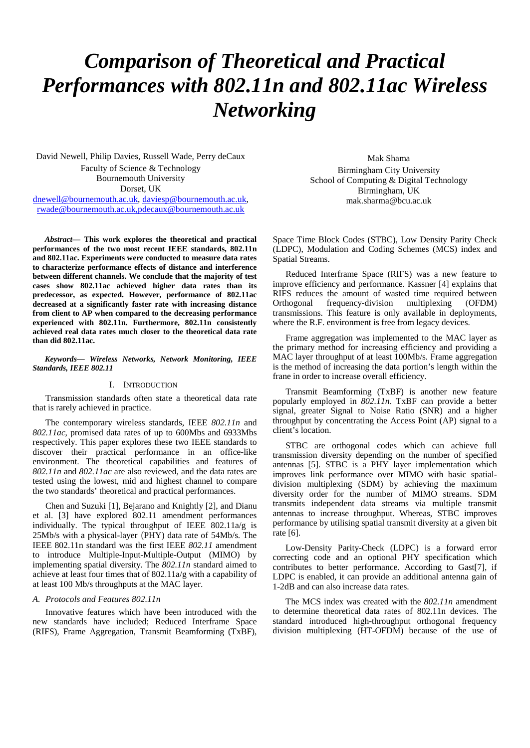# *Comparison of Theoretical and Practical Performances with 802.11n and 802.11ac Wireless Networking*

David Newell, Philip Davies, Russell Wade, Perry deCaux Faculty of Science & Technology Bournemouth University Dorset, UK [dnewell@bournemouth.ac.uk,](mailto:dnewell@bournemouth.ac.uk) [daviesp@bournemouth.ac.uk,](mailto:daviesp@bournemouth.ac.uk) [rwade@bournemouth.ac.uk,p](mailto:rwade@bournemouth.ac.uk)decaux@bournemouth.ac.uk

*Abstract***— This work explores the theoretical and practical performances of the two most recent IEEE standards, 802.11n and 802.11ac. Experiments were conducted to measure data rates to characterize performance effects of distance and interference between different channels. We conclude that the majority of test cases show 802.11ac achieved higher data rates than its predecessor, as expected. However, performance of 802.11ac decreased at a significantly faster rate with increasing distance from client to AP when compared to the decreasing performance experienced with 802.11n. Furthermore, 802.11n consistently achieved real data rates much closer to the theoretical data rate than did 802.11ac.** 

*Keywords— Wireless Networks, Network Monitoring, IEEE Standards, IEEE 802.11*

#### I. INTRODUCTION

Transmission standards often state a theoretical data rate that is rarely achieved in practice.

The contemporary wireless standards, IEEE *802.11n* and *802.11ac*, promised data rates of up to 600Mbs and 6933Mbs respectively. This paper explores these two IEEE standards to discover their practical performance in an office-like environment. The theoretical capabilities and features of *802.11n* and *802.11ac* are also reviewed, and the data rates are tested using the lowest, mid and highest channel to compare the two standards' theoretical and practical performances.

Chen and Suzuki [1], Bejarano and Knightly [2], and Dianu et al. [3] have explored 802.11 amendment performances individually. The typical throughput of IEEE 802.11a/g is 25Mb/s with a physical-layer (PHY) data rate of 54Mb/s. The IEEE 802.11n standard was the first IEEE *802.11* amendment to introduce Multiple-Input-Multiple-Output (MIMO) by implementing spatial diversity. The *802.11n* standard aimed to achieve at least four times that of 802.11a/g with a capability of at least 100 Mb/s throughputs at the MAC layer.

#### *A. Protocols and Features 802.11n*

Innovative features which have been introduced with the new standards have included; Reduced Interframe Space (RIFS), Frame Aggregation, Transmit Beamforming (TxBF),

Mak Shama Birmingham City University School of Computing & Digital Technology Birmingham, UK mak.sharma@bcu.ac.uk

Space Time Block Codes (STBC), Low Density Parity Check (LDPC), Modulation and Coding Schemes (MCS) index and Spatial Streams.

Reduced Interframe Space (RIFS) was a new feature to improve efficiency and performance. Kassner [4] explains that RIFS reduces the amount of wasted time required between Orthogonal frequency-division multiplexing (OFDM) transmissions. This feature is only available in deployments, where the R.F. environment is free from legacy devices.

Frame aggregation was implemented to the MAC layer as the primary method for increasing efficiency and providing a MAC layer throughput of at least 100Mb/s. Frame aggregation is the method of increasing the data portion's length within the frane in order to increase overall efficiency.

Transmit Beamforming (TxBF) is another new feature popularly employed in *802.11n*. TxBF can provide a better signal, greater Signal to Noise Ratio (SNR) and a higher throughput by concentrating the Access Point (AP) signal to a client's location.

STBC are orthogonal codes which can achieve full transmission diversity depending on the number of specified antennas [5]. STBC is a PHY layer implementation which improves link performance over MIMO with basic spatialdivision multiplexing (SDM) by achieving the maximum diversity order for the number of MIMO streams. SDM transmits independent data streams via multiple transmit antennas to increase throughput. Whereas, STBC improves performance by utilising spatial transmit diversity at a given bit rate [6].

Low-Density Parity-Check (LDPC) is a forward error correcting code and an optional PHY specification which contributes to better performance. According to Gast[7], if LDPC is enabled, it can provide an additional antenna gain of 1-2dB and can also increase data rates.

The MCS index was created with the *802.11n* amendment to determine theoretical data rates of 802.11n devices. The standard introduced high-throughput orthogonal frequency division multiplexing (HT-OFDM) because of the use of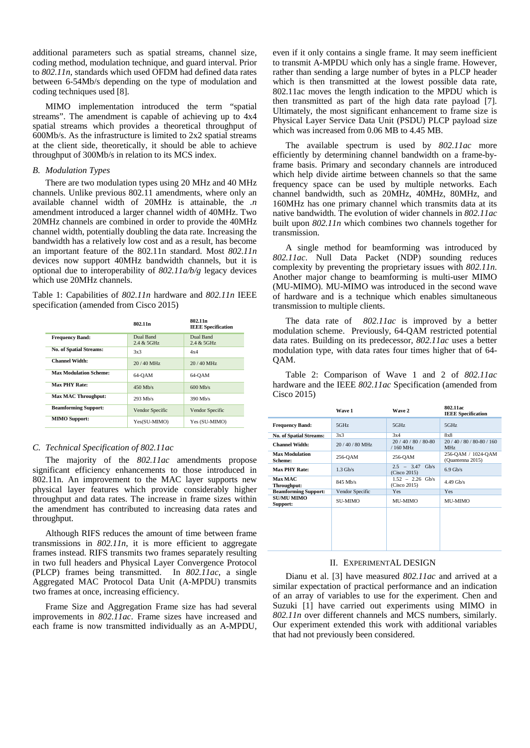additional parameters such as spatial streams, channel size, coding method, modulation technique, and guard interval. Prior to *802.11n*, standards which used OFDM had defined data rates between 6-54Mb/s depending on the type of modulation and coding techniques used [8].

MIMO implementation introduced the term "spatial streams". The amendment is capable of achieving up to 4x4 spatial streams which provides a theoretical throughput of 600Mb/s. As the infrastructure is limited to 2x2 spatial streams at the client side, theoretically, it should be able to achieve throughput of 300Mb/s in relation to its MCS index.

# *B. Modulation Types*

There are two modulation types using 20 MHz and 40 MHz channels. Unlike previous 802.11 amendments, where only an available channel width of 20MHz is attainable, the *.n* amendment introduced a larger channel width of 40MHz. Two 20MHz channels are combined in order to provide the 40MHz channel width, potentially doubling the data rate. Increasing the bandwidth has a relatively low cost and as a result, has become an important feature of the 802.11n standard. Most *802.11n* devices now support 40MHz bandwidth channels, but it is optional due to interoperability of *802.11a/b/g* legacy devices which use 20MHz channels.

Table 1: Capabilities of *802.11n* hardware and *802.11n* IEEE specification (amended from Cisco 2015)

|                                | 802.11 <sub>n</sub>        | 802.11 <sub>n</sub><br><b>IEEE</b> Specification |
|--------------------------------|----------------------------|--------------------------------------------------|
| <b>Frequency Band:</b>         | Dual Band<br>$2.4 & 5$ GHz | Dual Band<br>$2.4 & 5$ GHz                       |
| <b>No. of Spatial Streams:</b> | 3x3                        | 4x4                                              |
| <b>Channel Width:</b>          | $20/40$ MHz                | $20/40$ MHz                                      |
| <b>Max Modulation Scheme:</b>  | 64-OAM                     | 64-OAM                                           |
| <b>Max PHY Rate:</b>           | $450$ Mb/s                 | $600$ Mb/s                                       |
| <b>Max MAC Throughput:</b>     | $293$ Mb/s                 | $390$ Mb/s                                       |
| <b>Beamforming Support:</b>    | Vendor Specific            | Vendor Specific                                  |
| <b>MIMO Support:</b>           | Yes(SU-MIMO)               | Yes (SU-MIMO)                                    |

# *C. Technical Specification of 802.11ac*

The majority of the *802.11ac* amendments propose significant efficiency enhancements to those introduced in 802.11n. An improvement to the MAC layer supports new physical layer features which provide considerably higher throughput and data rates. The increase in frame sizes within the amendment has contributed to increasing data rates and throughput.

Although RIFS reduces the amount of time between frame transmissions in *802.11n*, it is more efficient to aggregate frames instead. RIFS transmits two frames separately resulting in two full headers and Physical Layer Convergence Protocol (PLCP) frames being transmitted. In *802.11ac*, a single Aggregated MAC Protocol Data Unit (A-MPDU) transmits two frames at once, increasing efficiency.

Frame Size and Aggregation Frame size has had several improvements in *802.11ac*. Frame sizes have increased and each frame is now transmitted individually as an A-MPDU,

even if it only contains a single frame. It may seem inefficient to transmit A-MPDU which only has a single frame. However, rather than sending a large number of bytes in a PLCP header which is then transmitted at the lowest possible data rate, 802.11ac moves the length indication to the MPDU which is then transmitted as part of the high data rate payload [7]. Ultimately, the most significant enhancement to frame size is Physical Layer Service Data Unit (PSDU) PLCP payload size which was increased from 0.06 MB to 4.45 MB.

The available spectrum is used by *802.11ac* more efficiently by determining channel bandwidth on a frame-byframe basis. Primary and secondary channels are introduced which help divide airtime between channels so that the same frequency space can be used by multiple networks. Each channel bandwidth, such as 20MHz, 40MHz, 80MHz, and 160MHz has one primary channel which transmits data at its native bandwidth. The evolution of wider channels in *802.11ac* built upon *802.11n* which combines two channels together for transmission.

A single method for beamforming was introduced by *802.11ac*. Null Data Packet (NDP) sounding reduces complexity by preventing the proprietary issues with *802.11n*. Another major change to beamforming is multi-user MIMO (MU-MIMO). MU-MIMO was introduced in the second wave of hardware and is a technique which enables simultaneous transmission to multiple clients.

The data rate of *802.11ac* is improved by a better modulation scheme. Previously, 64-QAM restricted potential data rates. Building on its predecessor, *802.11ac* uses a better modulation type, with data rates four times higher that of 64- QAM.

Table 2: Comparison of Wave 1 and 2 of *802.11ac* hardware and the IEEE *802.11ac* Specification (amended from Cisco 2015)

|                                  | Wave 1          | Wave 2                               | 802.11ac<br><b>IEEE</b> Specification    |
|----------------------------------|-----------------|--------------------------------------|------------------------------------------|
| <b>Frequency Band:</b>           | 5GHz            | 5GHz                                 | 5GHz                                     |
| <b>No. of Spatial Streams:</b>   | 3x3             | 3x4                                  | 8x8                                      |
| <b>Channel Width:</b>            | 20/40/80 MHz    | 20 / 40 / 80 / 80-80<br>/ 160 MHz    | 20 / 40 / 80 / 80-80 / 160<br><b>MHz</b> |
| <b>Max Modulation</b><br>Scheme: | 256-QAM         | 256-QAM                              | 256-QAM / 1024-QAM<br>(Quantenna 2015)   |
| <b>Max PHY Rate:</b>             | $1.3$ Gb/s      | $2.5 - 3.47$<br>Gb/s<br>(Cisco 2015) | $6.9$ Gb/s                               |
| <b>Max MAC</b><br>Throughput:    | 845 Mb/s        | $1.52 - 2.26$ Gb/s<br>(Cisco 2015)   | $4.49$ Gb/s                              |
| <b>Beamforming Support:</b>      | Vendor Specific | <b>Yes</b>                           | Yes                                      |
| <b>SU/MU MIMO</b><br>Support:    | <b>SU-MIMO</b>  | MU-MIMO                              | <b>MU-MIMO</b>                           |
|                                  |                 |                                      |                                          |

#### II. EXPERIMENTAL DESIGN

Dianu et al. [3] have measured *802.11ac* and arrived at a similar expectation of practical performance and an indication of an array of variables to use for the experiment. Chen and Suzuki [1] have carried out experiments using MIMO in *802.11n* over different channels and MCS numbers, similarly. Our experiment extended this work with additional variables that had not previously been considered.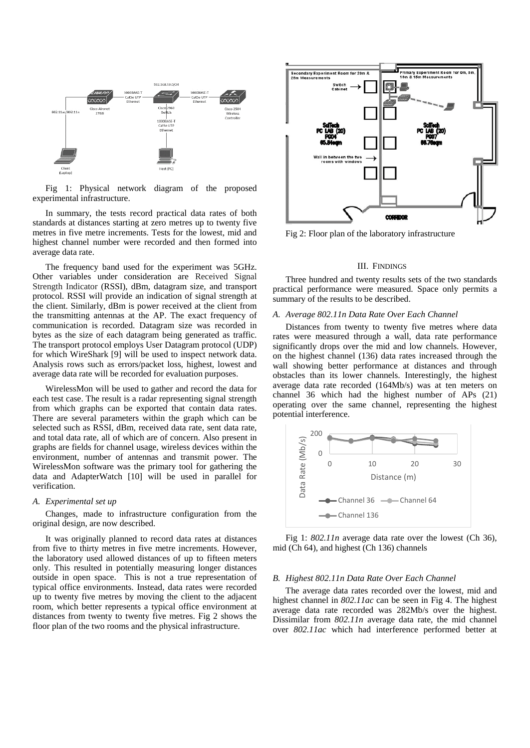

Fig 1: Physical network diagram of the proposed experimental infrastructure.

In summary, the tests record practical data rates of both standards at distances starting at zero metres up to twenty five metres in five metre increments. Tests for the lowest, mid and highest channel number were recorded and then formed into average data rate.

The frequency band used for the experiment was 5GHz. Other variables under consideration are Received Signal Strength Indicator (RSSI), dBm, datagram size, and transport protocol. RSSI will provide an indication of signal strength at the client. Similarly, dBm is power received at the client from the transmitting antennas at the AP. The exact frequency of communication is recorded. Datagram size was recorded in bytes as the size of each datagram being generated as traffic. The transport protocol employs User Datagram protocol (UDP) for which WireShark [9] will be used to inspect network data. Analysis rows such as errors/packet loss, highest, lowest and average data rate will be recorded for evaluation purposes.

WirelessMon will be used to gather and record the data for each test case. The result is a radar representing signal strength from which graphs can be exported that contain data rates. There are several parameters within the graph which can be selected such as RSSI, dBm, received data rate, sent data rate, and total data rate, all of which are of concern. Also present in graphs are fields for channel usage, wireless devices within the environment, number of antennas and transmit power. The WirelessMon software was the primary tool for gathering the data and AdapterWatch [10] will be used in parallel for verification.

## *A. Experimental set up*

Changes, made to infrastructure configuration from the original design, are now described.

It was originally planned to record data rates at distances from five to thirty metres in five metre increments. However, the laboratory used allowed distances of up to fifteen meters only. This resulted in potentially measuring longer distances outside in open space. This is not a true representation of typical office environments. Instead, data rates were recorded up to twenty five metres by moving the client to the adjacent room, which better represents a typical office environment at distances from twenty to twenty five metres. Fig 2 shows the floor plan of the two rooms and the physical infrastructure.



Fig 2: Floor plan of the laboratory infrastructure

#### III. FINDINGS

Three hundred and twenty results sets of the two standards practical performance were measured. Space only permits a summary of the results to be described.

#### *A. Average 802.11n Data Rate Over Each Channel*

Distances from twenty to twenty five metres where data rates were measured through a wall, data rate performance significantly drops over the mid and low channels. However, on the highest channel (136) data rates increased through the wall showing better performance at distances and through obstacles than its lower channels. Interestingly, the highest average data rate recorded (164Mb/s) was at ten meters on channel 36 which had the highest number of APs (21) operating over the same channel, representing the highest potential interference.



Fig 1: *802.11n* average data rate over the lowest (Ch 36), mid (Ch 64), and highest (Ch 136) channels

#### *B. Highest 802.11n Data Rate Over Each Channel*

The average data rates recorded over the lowest, mid and highest channel in *802.11ac* can be seen in Fig 4. The highest average data rate recorded was 282Mb/s over the highest. Dissimilar from *802.11n* average data rate, the mid channel over *802.11ac* which had interference performed better at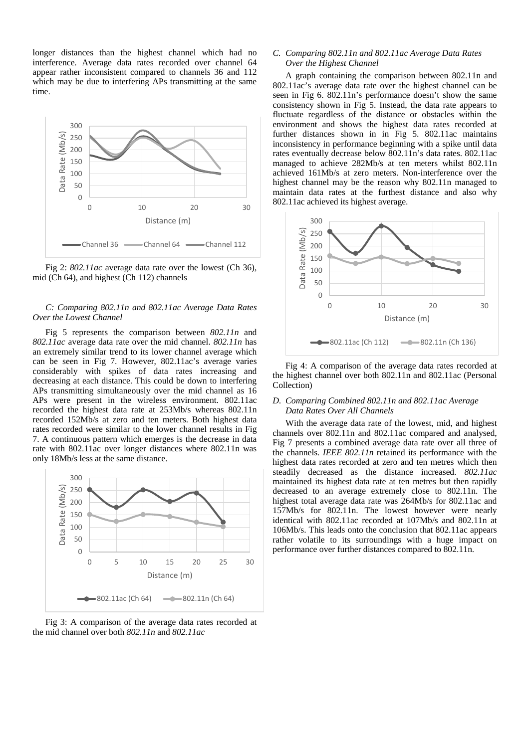longer distances than the highest channel which had no interference. Average data rates recorded over channel 64 appear rather inconsistent compared to channels 36 and 112 which may be due to interfering APs transmitting at the same time.



Fig 2: *802.11ac* average data rate over the lowest (Ch 36), mid (Ch 64), and highest (Ch 112) channels

# *C: Comparing 802.11n and 802.11ac Average Data Rates Over the Lowest Channel*

Fig 5 represents the comparison between *802.11n* and *802.11ac* average data rate over the mid channel. *802.11n* has an extremely similar trend to its lower channel average which can be seen in Fig 7. However, 802.11ac's average varies considerably with spikes of data rates increasing and decreasing at each distance. This could be down to interfering APs transmitting simultaneously over the mid channel as 16 APs were present in the wireless environment. 802.11ac recorded the highest data rate at 253Mb/s whereas 802.11n recorded 152Mb/s at zero and ten meters. Both highest data rates recorded were similar to the lower channel results in Fig 7. A continuous pattern which emerges is the decrease in data rate with 802.11ac over longer distances where 802.11n was only 18Mb/s less at the same distance.



Fig 3: A comparison of the average data rates recorded at the mid channel over both *802.11n* and *802.11ac*

# *C. Comparing 802.11n and 802.11ac Average Data Rates Over the Highest Channel*

A graph containing the comparison between 802.11n and 802.11ac's average data rate over the highest channel can be seen in Fig 6. 802.11n's performance doesn't show the same consistency shown in Fig 5. Instead, the data rate appears to fluctuate regardless of the distance or obstacles within the environment and shows the highest data rates recorded at further distances shown in in Fig 5. 802.11ac maintains inconsistency in performance beginning with a spike until data rates eventually decrease below 802.11n's data rates. 802.11ac managed to achieve 282Mb/s at ten meters whilst 802.11n achieved 161Mb/s at zero meters. Non-interference over the highest channel may be the reason why 802.11n managed to maintain data rates at the furthest distance and also why 802.11ac achieved its highest average.



Fig 4: A comparison of the average data rates recorded at the highest channel over both 802.11n and 802.11ac (Personal Collection)

# *D. Comparing Combined 802.11n and 802.11ac Average Data Rates Over All Channels*

With the average data rate of the lowest, mid, and highest channels over 802.11n and 802.11ac compared and analysed, Fig 7 presents a combined average data rate over all three of the channels. *IEEE 802.11n* retained its performance with the highest data rates recorded at zero and ten metres which then steadily decreased as the distance increased. *802.11ac* maintained its highest data rate at ten metres but then rapidly decreased to an average extremely close to 802.11n. The highest total average data rate was 264Mb/s for 802.11ac and 157Mb/s for 802.11n. The lowest however were nearly identical with 802.11ac recorded at 107Mb/s and 802.11n at 106Mb/s. This leads onto the conclusion that 802.11ac appears rather volatile to its surroundings with a huge impact on performance over further distances compared to 802.11n.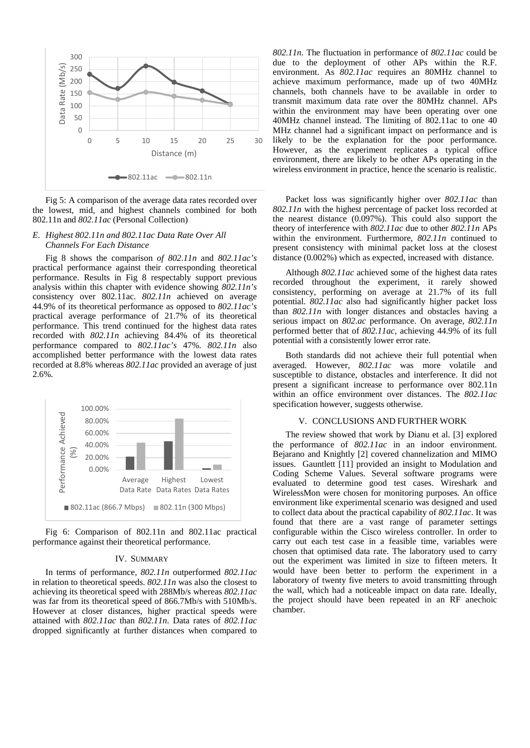

Fig 5: A comparison of the average data rates recorded over the lowest, mid, and highest channels combined for both 802.11n and *802.11ac* (Personal Collection)

# *E. Highest 802.11n and 802.11ac Data Rate Over All Channels For Each Distance*

Fig 8 shows the comparison *of 802.11n* and *802.11ac's* practical performance against their corresponding theoretical performance. Results in Fig 8 respectably support previous analysis within this chapter with evidence showing *802.11n's* consistency over 802.11ac. *802.11n* achieved on average 44.9% of its theoretical performance as opposed to *802.11ac's* practical average performance of 21.7% of its theoretical performance. This trend continued for the highest data rates recorded with *802.11n* achieving 84.4% of its theoretical performance compared to *802.11ac's* 47%. *802.11n* also accomplished better performance with the lowest data rates recorded at 8.8% whereas *802.11ac* provided an average of just 2.6%.



Fig 6: Comparison of 802.11n and 802.11ac practical performance against their theoretical performance.

## IV. SUMMARY

In terms of performance, *802.11n* outperformed *802.11ac* in relation to theoretical speeds. *802.11n* was also the closest to achieving its theoretical speed with 288Mb/s whereas *802.11ac* was far from its theoretical speed of 866.7Mb/s with 510Mb/s. However at closer distances, higher practical speeds were attained with *802.11ac* than *802.11n*. Data rates of *802.11ac* dropped significantly at further distances when compared to

*802.11n*. The fluctuation in performance of *802.11ac* could be due to the deployment of other APs within the R.F. environment. As *802.11ac* requires an 80MHz channel to achieve maximum performance, made up of two 40MHz channels, both channels have to be available in order to transmit maximum data rate over the 80MHz channel. APs within the environment may have been operating over one 40MHz channel instead. The limiting of 802.11ac to one 40 MHz channel had a significant impact on performance and is likely to be the explanation for the poor performance. However, as the experiment replicates a typical office environment, there are likely to be other APs operating in the wireless environment in practice, hence the scenario is realistic.

Packet loss was significantly higher over *802.11ac* than *802.11n* with the highest percentage of packet loss recorded at the nearest distance (0.097%). This could also support the theory of interference with *802.11ac* due to other *802.11n* APs within the environment. Furthermore, *802.11n* continued to present consistency with minimal packet loss at the closest distance (0.002%) which as expected, increased with distance.

Although *802.11ac* achieved some of the highest data rates recorded throughout the experiment, it rarely showed consistency, performing on average at 21.7% of its full potential. *802.11ac* also had significantly higher packet loss than *802.11n* with longer distances and obstacles having a serious impact on *802.ac* performance. On average, *802.11n* performed better that of *802.11ac,* achieving 44.9% of its full potential with a consistently lower error rate.

Both standards did not achieve their full potential when averaged. However, *802.11ac* was more volatile and susceptible to distance, obstacles and interference. It did not present a significant increase to performance over 802.11n within an office environment over distances. The *802.11ac* specification however, suggests otherwise.

#### V. CONCLUSIONS AND FURTHER WORK

The review showed that work by Dianu et al. [3] explored the performance of *802.11ac* in an indoor environment. Bejarano and Knightly [2] covered channelization and MIMO issues. Gauntlett [11] provided an insight to Modulation and Coding Scheme Values. Several software programs were evaluated to determine good test cases. Wireshark and WirelessMon were chosen for monitoring purposes. An office environment like experimental scenario was designed and used to collect data about the practical capability of *802.11ac*. It was found that there are a vast range of parameter settings configurable within the Cisco wireless controller. In order to carry out each test case in a feasible time, variables were chosen that optimised data rate. The laboratory used to carry out the experiment was limited in size to fifteen meters. It would have been better to perform the experiment in a laboratory of twenty five meters to avoid transmitting through the wall, which had a noticeable impact on data rate. Ideally, the project should have been repeated in an RF anechoic chamber.